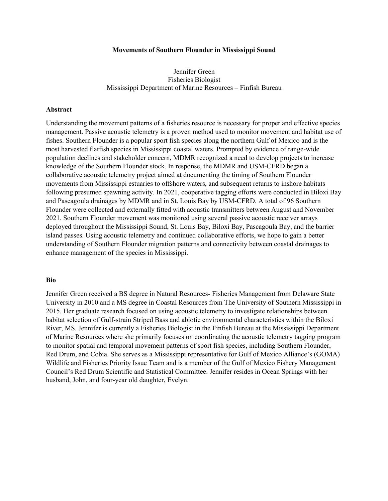## **Movements of Southern Flounder in Mississippi Sound**

## Jennifer Green Fisheries Biologist Mississippi Department of Marine Resources – Finfish Bureau

## **Abstract**

Understanding the movement patterns of a fisheries resource is necessary for proper and effective species management. Passive acoustic telemetry is a proven method used to monitor movement and habitat use of fishes. Southern Flounder is a popular sport fish species along the northern Gulf of Mexico and is the most harvested flatfish species in Mississippi coastal waters. Prompted by evidence of range-wide population declines and stakeholder concern, MDMR recognized a need to develop projects to increase knowledge of the Southern Flounder stock. In response, the MDMR and USM-CFRD began a collaborative acoustic telemetry project aimed at documenting the timing of Southern Flounder movements from Mississippi estuaries to offshore waters, and subsequent returns to inshore habitats following presumed spawning activity. In 2021, cooperative tagging efforts were conducted in Biloxi Bay and Pascagoula drainages by MDMR and in St. Louis Bay by USM-CFRD. A total of 96 Southern Flounder were collected and externally fitted with acoustic transmitters between August and November 2021. Southern Flounder movement was monitored using several passive acoustic receiver arrays deployed throughout the Mississippi Sound, St. Louis Bay, Biloxi Bay, Pascagoula Bay, and the barrier island passes. Using acoustic telemetry and continued collaborative efforts, we hope to gain a better understanding of Southern Flounder migration patterns and connectivity between coastal drainages to enhance management of the species in Mississippi.

## **Bio**

Jennifer Green received a BS degree in Natural Resources- Fisheries Management from Delaware State University in 2010 and a MS degree in Coastal Resources from The University of Southern Mississippi in 2015. Her graduate research focused on using acoustic telemetry to investigate relationships between habitat selection of Gulf-strain Striped Bass and abiotic environmental characteristics within the Biloxi River, MS. Jennifer is currently a Fisheries Biologist in the Finfish Bureau at the Mississippi Department of Marine Resources where she primarily focuses on coordinating the acoustic telemetry tagging program to monitor spatial and temporal movement patterns of sport fish species, including Southern Flounder, Red Drum, and Cobia. She serves as a Mississippi representative for Gulf of Mexico Alliance's (GOMA) Wildlife and Fisheries Priority Issue Team and is a member of the Gulf of Mexico Fishery Management Council's Red Drum Scientific and Statistical Committee. Jennifer resides in Ocean Springs with her husband, John, and four-year old daughter, Evelyn.